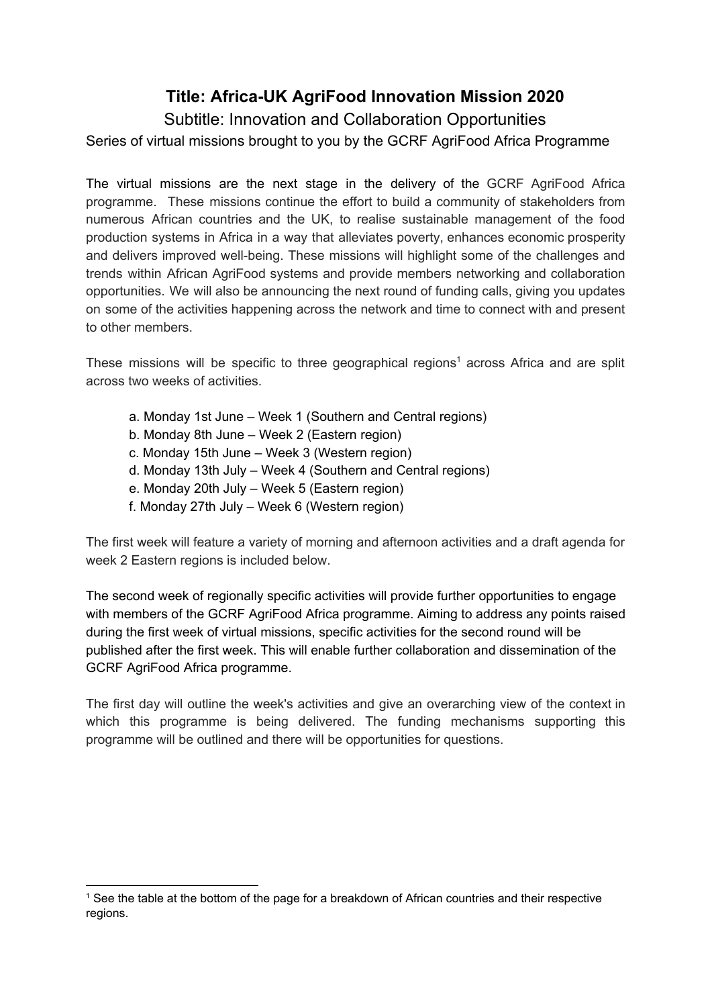# **Title: Africa-UK AgriFood Innovation Mission 2020**

Subtitle: Innovation and Collaboration Opportunities

Series of virtual missions brought to you by the GCRF AgriFood Africa Programme

The virtual missions are the next stage in the delivery of the GCRF [AgriFood](https://ktn-uk.co.uk/programmes/gcrf-agrifood-africa-programme) Africa [programme](https://ktn-uk.co.uk/programmes/gcrf-agrifood-africa-programme). These missions continue the effort to build a community of stakeholders from numerous African countries and the UK, to realise [sustainable](https://ktn-uk.co.uk/interests/sustainability-circular-economy) management of the [food](https://ktn-uk.co.uk/interests/agri-food) [production](https://ktn-uk.co.uk/interests/agri-food) systems in Africa in a way that alleviates poverty, enhances economic prosperity and delivers improved well-being. These missions will highlight some of the challenges and trends within African AgriFood systems and provide members networking and collaboration opportunities. We will also be announcing the next round of funding calls, giving you updates on some of the activities happening across the network and time to connect with and present to other members.

These missions will be specific to three geographical regions<sup>1</sup> across Africa and are split across two weeks of activities.

- a. Monday 1st June Week 1 (Southern and Central regions)
- b. Monday 8th June Week 2 (Eastern region)
- c. Monday 15th June Week 3 (Western region)
- d. Monday 13th July Week 4 (Southern and Central regions)
- e. Monday 20th July Week 5 (Eastern region)
- f. Monday 27th July Week 6 (Western region)

The first week will feature a variety of morning and afternoon activities and a draft agenda for week 2 Eastern regions is included below.

The second week of regionally specific activities will provide further opportunities to engage with members of the GCRF AgriFood Africa programme. Aiming to address any points raised during the first week of virtual missions, specific activities for the second round will be published after the first week. This will enable further collaboration and dissemination of the GCRF AgriFood Africa programme.

The first day will outline the week's activities and give an overarching view of the context in which this programme is being delivered. The funding mechanisms supporting this programme will be outlined and there will be opportunities for questions.

 $<sup>1</sup>$  See the table at the bottom of the page for a breakdown of African countries and their respective</sup> regions.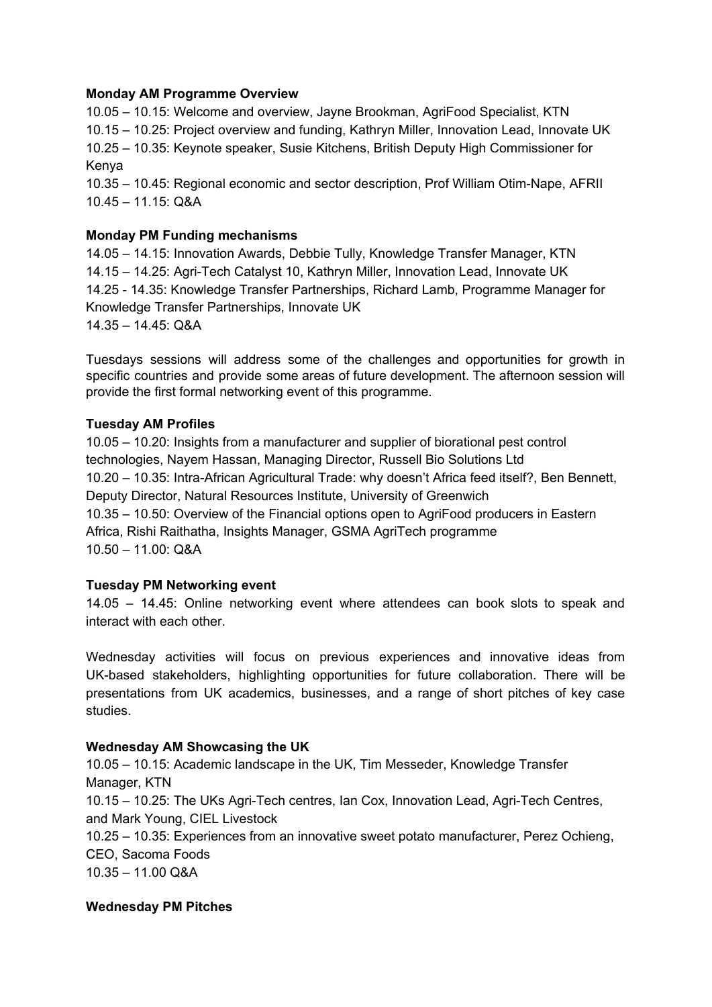#### **Monday AM Programme Overview**

10.05 – 10.15: Welcome and overview, Jayne Brookman, AgriFood Specialist, KTN 10.15 – 10.25: Project overview and funding, Kathryn Miller, Innovation Lead, Innovate UK 10.25 – 10.35: Keynote speaker, Susie Kitchens, British Deputy High Commissioner for Kenya 10.35 – 10.45: Regional economic and sector description, Prof William Otim-Nape, AFRII 10.45 – 11.15: Q&A

# **Monday PM Funding mechanisms**

14.05 – 14.15: Innovation Awards, Debbie Tully, Knowledge Transfer Manager, KTN 14.15 – 14.25: Agri-Tech Catalyst 10, Kathryn Miller, Innovation Lead, Innovate UK 14.25 - 14.35: Knowledge Transfer Partnerships, Richard Lamb, Programme Manager for Knowledge Transfer Partnerships, Innovate UK 14.35 – 14.45: Q&A

Tuesdays sessions will address some of the challenges and opportunities for growth in specific countries and provide some areas of future development. The afternoon session will provide the first formal networking event of this programme.

## **Tuesday AM Profiles**

10.05 – 10.20: Insights from a manufacturer and supplier of biorational pest control technologies, Nayem Hassan, Managing Director, Russell Bio Solutions Ltd 10.20 – 10.35: Intra-African Agricultural Trade: why doesn't Africa feed itself?, Ben Bennett, Deputy Director, Natural Resources Institute, University of Greenwich 10.35 – 10.50: Overview of the Financial options open to AgriFood producers in Eastern Africa, Rishi Raithatha, Insights Manager, GSMA AgriTech programme 10.50 – 11.00: Q&A

## **Tuesday PM Networking event**

14.05 – 14.45: Online networking event where attendees can book slots to speak and interact with each other.

Wednesday activities will focus on previous experiences and innovative ideas from UK-based stakeholders, highlighting opportunities for future collaboration. There will be presentations from UK academics, businesses, and a range of short pitches of key case studies.

## **Wednesday AM Showcasing the UK**

10.05 – 10.15: Academic landscape in the UK, Tim Messeder, Knowledge Transfer Manager, KTN 10.15 – 10.25: The UKs Agri-Tech centres, Ian Cox, Innovation Lead, Agri-Tech Centres, and Mark Young, CIEL Livestock 10.25 – 10.35: Experiences from an innovative sweet potato manufacturer, Perez Ochieng, CEO, Sacoma Foods 10.35 – 11.00 Q&A

## **Wednesday PM Pitches**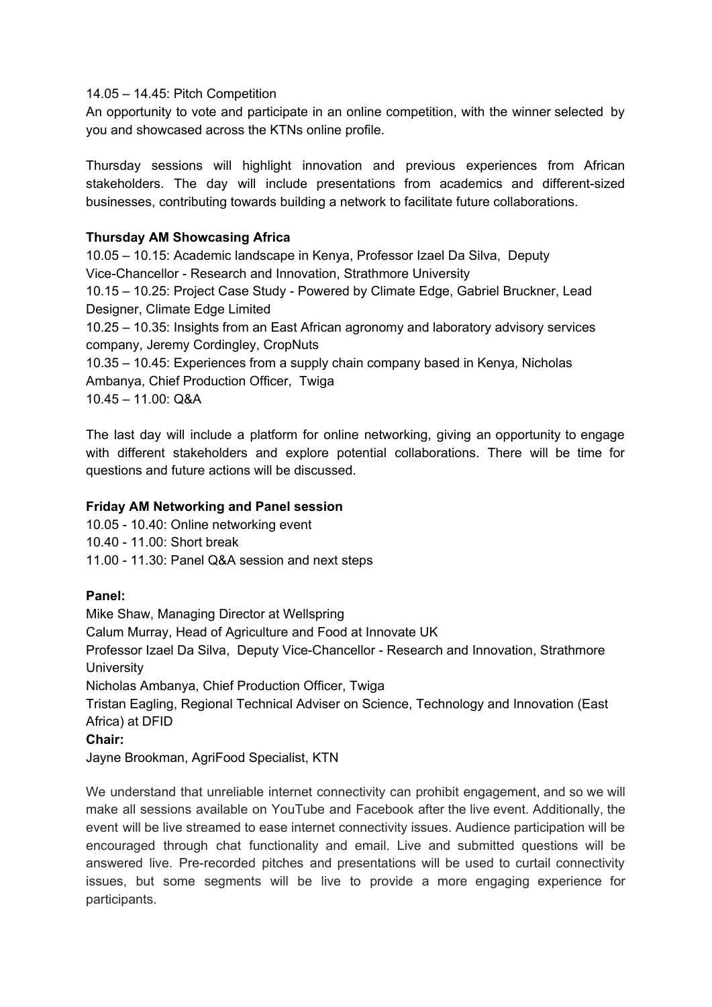14.05 – 14.45: Pitch Competition

An opportunity to vote and participate in an online competition, with the winner selected by you and showcased across the KTNs online profile.

Thursday sessions will highlight innovation and previous experiences from African stakeholders. The day will include presentations from academics and different-sized businesses, contributing towards building a network to facilitate future collaborations.

#### **Thursday AM Showcasing Africa**

10.05 – 10.15: Academic landscape in Kenya, Professor Izael Da Silva, Deputy Vice-Chancellor - Research and Innovation, Strathmore University 10.15 – 10.25: Project Case Study - Powered by Climate Edge, Gabriel Bruckner, Lead

Designer, Climate Edge Limited

10.25 – 10.35: Insights from an East African agronomy and laboratory advisory services company, Jeremy Cordingley, CropNuts

10.35 – 10.45: Experiences from a supply chain company based in Kenya, Nicholas Ambanya, Chief Production Officer, Twiga 10.45 – 11.00: Q&A

The last day will include a platform for online networking, giving an opportunity to engage with different stakeholders and explore potential collaborations. There will be time for questions and future actions will be discussed.

#### **Friday AM Networking and Panel session**

10.05 - 10.40: Online networking event

10.40 - 11.00: Short break

11.00 - 11.30: Panel Q&A session and next steps

#### **Panel:**

Mike Shaw, Managing Director at Wellspring Calum Murray, Head of Agriculture and Food at Innovate UK Professor Izael Da Silva, Deputy Vice-Chancellor - Research and Innovation, Strathmore **University** Nicholas Ambanya, Chief Production Officer, Twiga Tristan Eagling, Regional Technical Adviser on Science, Technology and Innovation (East Africa) at DFID

**Chair:**

Jayne Brookman, AgriFood Specialist, KTN

We understand that unreliable internet connectivity can prohibit engagement, and so we will make all sessions available on YouTube and Facebook after the live event. Additionally, the event will be live streamed to ease internet connectivity issues. Audience participation will be encouraged through chat functionality and email. Live and submitted questions will be answered live. Pre-recorded pitches and presentations will be used to curtail connectivity issues, but some segments will be live to provide a more engaging experience for participants.